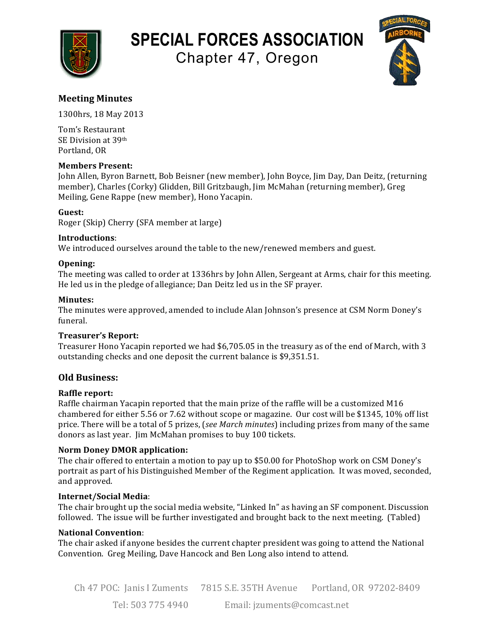

# **SPECIAL FORCES ASSOCIATION**

Chapter 47, Oregon



# **Meeting Minutes**

1300hrs, 18 May 2013

Tom's Restaurant SE Division at 39th Portland, OR

# **Members Present:**

John Allen, Byron Barnett, Bob Beisner (new member), John Boyce, Jim Day, Dan Deitz, (returning member), Charles (Corky) Glidden, Bill Gritzbaugh, Jim McMahan (returning member), Greg Meiling, Gene Rappe (new member), Hono Yacapin.

# **Guest:**

Roger (Skip) Cherry (SFA member at large)

#### **Introductions**:

We introduced ourselves around the table to the new/renewed members and guest.

# **Opening:**

The meeting was called to order at 1336hrs by John Allen, Sergeant at Arms, chair for this meeting. He led us in the pledge of allegiance; Dan Deitz led us in the SF prayer.

# **Minutes:**

The minutes were approved, amended to include Alan Johnson's presence at CSM Norm Doney's funeral.

#### **Treasurer's Report:**

Treasurer Hono Yacapin reported we had \$6,705.05 in the treasury as of the end of March, with 3 outstanding checks and one deposit the current balance is \$9,351.51.

# **Old Business:**

# **Raffle report:**

Raffle chairman Yacapin reported that the main prize of the raffle will be a customized M16 chambered for either 5.56 or 7.62 without scope or magazine. Our cost will be \$1345, 10% off list price. There will be a total of 5 prizes, (*see March minutes*) including prizes from many of the same donors as last year. Jim McMahan promises to buy 100 tickets.

#### **Norm Doney DMOR application:**

The chair offered to entertain a motion to pay up to \$50.00 for PhotoShop work on CSM Doney's portrait as part of his Distinguished Member of the Regiment application. It was moved, seconded, and approved.

#### **Internet/Social Media**:

The chair brought up the social media website, "Linked In" as having an SF component. Discussion followed. The issue will be further investigated and brought back to the next meeting. (Tabled)

#### **National Convention**:

The chair asked if anyone besides the current chapter president was going to attend the National Convention. Greg Meiling, Dave Hancock and Ben Long also intend to attend.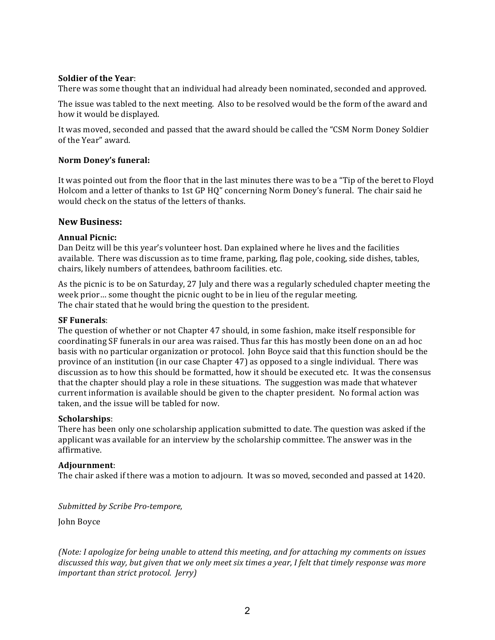#### **Soldier of the Year:**

There was some thought that an individual had already been nominated, seconded and approved.

The issue was tabled to the next meeting. Also to be resolved would be the form of the award and how it would be displayed.

It was moved, seconded and passed that the award should be called the "CSM Norm Doney Soldier of the Year" award.

#### **Norm Doney's funeral:**

It was pointed out from the floor that in the last minutes there was to be a "Tip of the beret to Floyd Holcom and a letter of thanks to 1st GP HQ" concerning Norm Doney's funeral. The chair said he would check on the status of the letters of thanks.

#### **New Business:**

#### **Annual Picnic:**

Dan Deitz will be this year's volunteer host. Dan explained where he lives and the facilities available. There was discussion as to time frame, parking, flag pole, cooking, side dishes, tables, chairs, likely numbers of attendees, bathroom facilities. etc.

As the picnic is to be on Saturday, 27 July and there was a regularly scheduled chapter meeting the week prior... some thought the picnic ought to be in lieu of the regular meeting. The chair stated that he would bring the question to the president.

#### **SF Funerals:**

The question of whether or not Chapter 47 should, in some fashion, make itself responsible for coordinating SF funerals in our area was raised. Thus far this has mostly been done on an ad hoc basis with no particular organization or protocol. John Boyce said that this function should be the province of an institution (in our case Chapter 47) as opposed to a single individual. There was discussion as to how this should be formatted, how it should be executed etc. It was the consensus that the chapter should play a role in these situations. The suggestion was made that whatever current information is available should be given to the chapter president. No formal action was taken, and the issue will be tabled for now.

#### **Scholarships**:

There has been only one scholarship application submitted to date. The question was asked if the applicant was available for an interview by the scholarship committee. The answer was in the affirmative.

#### **Adjournment**:

The chair asked if there was a motion to adjourn. It was so moved, seconded and passed at 1420.

*Submitted by Scribe Pro-tempore,*

**John Boyce** 

*(Note: I apologize for being unable to attend this meeting, and for attaching my comments on issues* discussed this way, but given that we only meet six times a year, I felt that timely response was more *important than strict protocol. Jerry)*